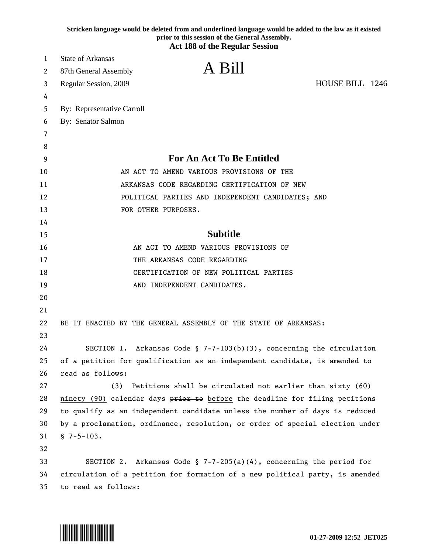|    | Stricken language would be deleted from and underlined language would be added to the law as it existed<br>prior to this session of the General Assembly.<br><b>Act 188 of the Regular Session</b> |
|----|----------------------------------------------------------------------------------------------------------------------------------------------------------------------------------------------------|
| 1  | <b>State of Arkansas</b>                                                                                                                                                                           |
| 2  | A Bill<br>87th General Assembly                                                                                                                                                                    |
| 3  | HOUSE BILL 1246<br>Regular Session, 2009                                                                                                                                                           |
| 4  |                                                                                                                                                                                                    |
| 5  | By: Representative Carroll                                                                                                                                                                         |
| 6  | By: Senator Salmon                                                                                                                                                                                 |
| 7  |                                                                                                                                                                                                    |
| 8  |                                                                                                                                                                                                    |
| 9  | <b>For An Act To Be Entitled</b>                                                                                                                                                                   |
| 10 | AN ACT TO AMEND VARIOUS PROVISIONS OF THE                                                                                                                                                          |
| 11 | ARKANSAS CODE REGARDING CERTIFICATION OF NEW                                                                                                                                                       |
| 12 | POLITICAL PARTIES AND INDEPENDENT CANDIDATES; AND                                                                                                                                                  |
| 13 | FOR OTHER PURPOSES.                                                                                                                                                                                |
| 14 |                                                                                                                                                                                                    |
| 15 | <b>Subtitle</b>                                                                                                                                                                                    |
| 16 | AN ACT TO AMEND VARIOUS PROVISIONS OF                                                                                                                                                              |
| 17 | THE ARKANSAS CODE REGARDING                                                                                                                                                                        |
| 18 | CERTIFICATION OF NEW POLITICAL PARTIES                                                                                                                                                             |
| 19 | AND INDEPENDENT CANDIDATES.                                                                                                                                                                        |
| 20 |                                                                                                                                                                                                    |
| 21 |                                                                                                                                                                                                    |
| 22 | BE IT ENACTED BY THE GENERAL ASSEMBLY OF THE STATE OF ARKANSAS:                                                                                                                                    |
| 23 |                                                                                                                                                                                                    |
| 24 | SECTION 1. Arkansas Code § $7-7-103(b)(3)$ , concerning the circulation                                                                                                                            |
| 25 | of a petition for qualification as an independent candidate, is amended to                                                                                                                         |
| 26 | read as follows:                                                                                                                                                                                   |
| 27 | (3)<br>Petitions shall be circulated not earlier than sixty (60)                                                                                                                                   |
| 28 | ninety (90) calendar days prior to before the deadline for filing petitions                                                                                                                        |
| 29 | to qualify as an independent candidate unless the number of days is reduced                                                                                                                        |
| 30 | by a proclamation, ordinance, resolution, or order of special election under                                                                                                                       |
| 31 | $$7-5-103.$                                                                                                                                                                                        |
| 32 |                                                                                                                                                                                                    |
| 33 | SECTION 2. Arkansas Code § 7-7-205(a)(4), concerning the period for                                                                                                                                |
| 34 | circulation of a petition for formation of a new political party, is amended                                                                                                                       |
| 35 | to read as follows:                                                                                                                                                                                |